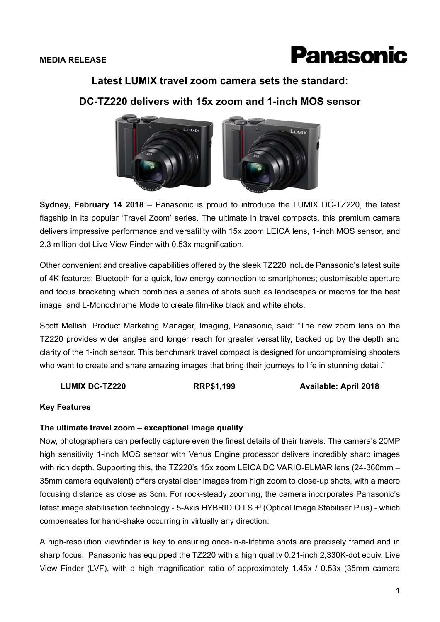

## **Latest LUMIX travel zoom camera sets the standard:**

# **DC-TZ220 delivers with 15x zoom and 1-inch MOS sensor**



**Sydney, February 14 2018** – Panasonic is proud to introduce the LUMIX DC-TZ220, the latest flagship in its popular 'Travel Zoom' series. The ultimate in travel compacts, this premium camera delivers impressive performance and versatility with 15x zoom LEICA lens, 1-inch MOS sensor, and 2.3 million-dot Live View Finder with 0.53x magnification.

Other convenient and creative capabilities offered by the sleek TZ220 include Panasonic's latest suite of 4K features; Bluetooth for a quick, low energy connection to smartphones; customisable aperture and focus bracketing which combines a series of shots such as landscapes or macros for the best image; and L-Monochrome Mode to create film-like black and white shots.

Scott Mellish, Product Marketing Manager, Imaging, Panasonic, said: "The new zoom lens on the TZ220 provides wider angles and longer reach for greater versatility, backed up by the depth and clarity of the 1-inch sensor. This benchmark travel compact is designed for uncompromising shooters who want to create and share amazing images that bring their journeys to life in stunning detail."

**LUMIX DC-TZ220 RRP\$1,199 Available: April 2018** 

#### **Key Features**

#### **The ultimate travel zoom – exceptional image quality**

Now, photographers can perfectly capture even the finest details of their travels. The camera's 20MP high sensitivity 1-inch MOS sensor with Venus Engine processor delivers incredibly sharp images with rich depth. Supporting this, the TZ220's 15x zoom LEICA DC VARIO-ELMAR lens (24-360mm -35mm camera equivalent) offers crystal clear images from high zoom to close-up shots, with a macro focusing distance as close as 3cm. For rock-steady zooming, the camera incorporates Panasonic's latest image stabilisation technology - 5-Axis HYBRID O.I.S.+i (Optical Image Stabiliser Plus) - which compensates for hand-shake occurring in virtually any direction.

A high-resolution viewfinder is key to ensuring once-in-a-lifetime shots are precisely framed and in sharp focus. Panasonic has equipped the TZ220 with a high quality 0.21-inch 2,330K-dot equiv. Live View Finder (LVF), with a high magnification ratio of approximately 1.45x / 0.53x (35mm camera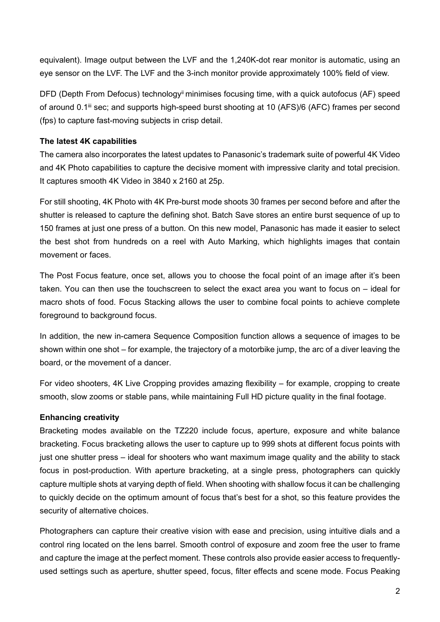equivalent). Image output between the LVF and the 1,240K-dot rear monitor is automatic, using an eye sensor on the LVF. The LVF and the 3-inch monitor provide approximately 100% field of view.

DFD (Depth From Defocus) technology<sup>ii</sup> minimises focusing time, with a quick autofocus (AF) speed of around 0.1<sup>ii</sup> sec; and supports high-speed burst shooting at 10 (AFS)/6 (AFC) frames per second (fps) to capture fast-moving subjects in crisp detail.

### **The latest 4K capabilities**

The camera also incorporates the latest updates to Panasonic's trademark suite of powerful 4K Video and 4K Photo capabilities to capture the decisive moment with impressive clarity and total precision. It captures smooth 4K Video in 3840 x 2160 at 25p.

For still shooting, 4K Photo with 4K Pre-burst mode shoots 30 frames per second before and after the shutter is released to capture the defining shot. Batch Save stores an entire burst sequence of up to 150 frames at just one press of a button. On this new model, Panasonic has made it easier to select the best shot from hundreds on a reel with Auto Marking, which highlights images that contain movement or faces.

The Post Focus feature, once set, allows you to choose the focal point of an image after it's been taken. You can then use the touchscreen to select the exact area you want to focus on – ideal for macro shots of food. Focus Stacking allows the user to combine focal points to achieve complete foreground to background focus.

In addition, the new in-camera Sequence Composition function allows a sequence of images to be shown within one shot – for example, the trajectory of a motorbike jump, the arc of a diver leaving the board, or the movement of a dancer.

For video shooters, 4K Live Cropping provides amazing flexibility – for example, cropping to create smooth, slow zooms or stable pans, while maintaining Full HD picture quality in the final footage.

# **Enhancing creativity**

Bracketing modes available on the TZ220 include focus, aperture, exposure and white balance bracketing. Focus bracketing allows the user to capture up to 999 shots at different focus points with just one shutter press – ideal for shooters who want maximum image quality and the ability to stack focus in post-production. With aperture bracketing, at a single press, photographers can quickly capture multiple shots at varying depth of field. When shooting with shallow focus it can be challenging to quickly decide on the optimum amount of focus that's best for a shot, so this feature provides the security of alternative choices.

Photographers can capture their creative vision with ease and precision, using intuitive dials and a control ring located on the lens barrel. Smooth control of exposure and zoom free the user to frame and capture the image at the perfect moment. These controls also provide easier access to frequentlyused settings such as aperture, shutter speed, focus, filter effects and scene mode. Focus Peaking